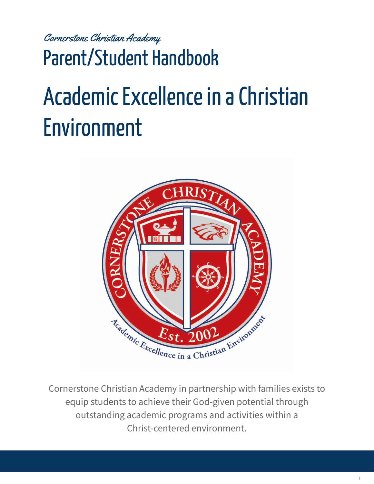Cornerstone Christian Academy

Parent/Student Handbook

# Academic Excellence in a Christian Environment



Cornerstone Christian Academy in partnership with families exists to equip students to achieve their God-given potential through outstanding academic programs and activities within a Christ-centered environment.

1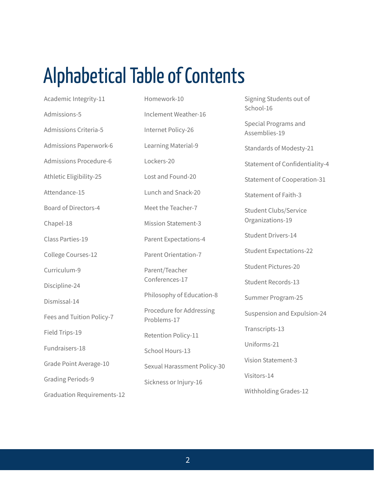### Alphabetical Table of Contents

Academic Integrity-11 Admissions-5 Admissions Criteria-5 Admissions Paperwork-6 Admissions Procedure-6 Athletic Eligibility-25 Attendance-15 Board of Directors-4 Chapel-18 Class Parties-19 College Courses-12 Curriculum-9 Discipline-24 Dismissal-14 Fees and Tuition Policy-7 Field Trips-19 Fundraisers-18 Grade Point Average-10 Grading Periods-9

Graduation Requirements-12

Homework-10 Inclement Weather-16 Internet Policy-26 Learning Material-9 Lockers-20 Lost and Found-20 Lunch and Snack-20 Meet the Teacher-7 Mission Statement-3 Parent Expectations-4 Parent Orientation-7 Parent/Teacher Conferences-17 Philosophy of Education-8 Procedure for Addressing Problems-17 Retention Policy-11 School Hours-13 Sexual Harassment Policy-30 Sickness or Injury-16

Signing Students out of School-16

Special Programs and Assemblies-19

Standards of Modesty-21

Statement of Confidentiality-4

Statement of Cooperation-31

Statement of Faith-3

Student Clubs/Service Organizations-19

Student Drivers-14

Student Expectations-22

Student Pictures-20

Student Records-13

Summer Program-25

Suspension and Expulsion-24

Transcripts-13

Uniforms-21

Vision Statement-3

Visitors-14

Withholding Grades-12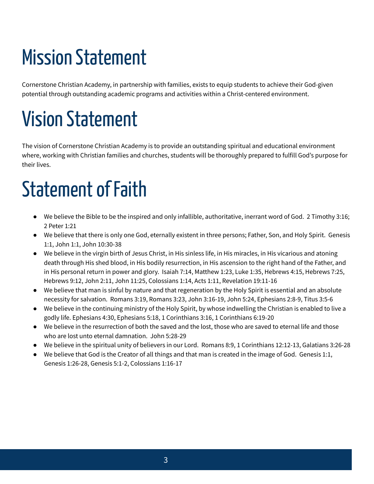## **Mission Statement**

Cornerstone Christian Academy, in partnership with families, exists to equip students to achieve their God-given potential through outstanding academic programs and activities within a Christ-centered environment.

## **Vision Statement**

The vision of Cornerstone Christian Academy is to provide an outstanding spiritual and educational environment where, working with Christian families and churches, students will be thoroughly prepared to fulfill God's purpose for their lives.

## Statement of Faith

- We believe the Bible to be the inspired and only infallible, authoritative, inerrant word of God. 2 Timothy 3:16; 2 Peter 1:21
- We believe that there is only one God, eternally existent in three persons; Father, Son, and Holy Spirit. Genesis 1:1, John 1:1, John 10:30-38
- We believe in the virgin birth of Jesus Christ, in His sinless life, in His miracles, in His vicarious and atoning death through His shed blood, in His bodily resurrection, in His ascension to the right hand of the Father, and in His personal return in power and glory. Isaiah 7:14, Matthew 1:23, Luke 1:35, Hebrews 4:15, Hebrews 7:25, Hebrews 9:12, John 2:11, John 11:25, Colossians 1:14, Acts 1:11, Revelation 19:11-16
- We believe that man is sinful by nature and that regeneration by the Holy Spirit is essential and an absolute necessity for salvation. Romans 3:19, Romans 3:23, John 3:16-19, John 5:24, Ephesians 2:8-9, Titus 3:5-6
- We believe in the continuing ministry of the Holy Spirit, by whose indwelling the Christian is enabled to live a godly life. Ephesians 4:30, Ephesians 5:18, 1 Corinthians 3:16, 1 Corinthians 6:19-20
- We believe in the resurrection of both the saved and the lost, those who are saved to eternal life and those who are lost unto eternal damnation. John 5:28-29
- We believe in the spiritual unity of believers in our Lord. Romans 8:9, 1 Corinthians 12:12-13, Galatians 3:26-28
- We believe that God is the Creator of all things and that man is created in the image of God. Genesis 1:1, Genesis 1:26-28, Genesis 5:1-2, Colossians 1:16-17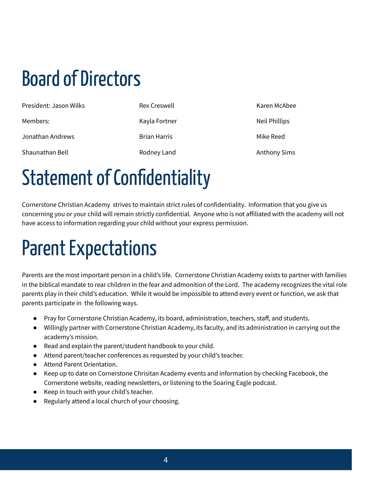## Board of Directors

| President: Jason Wilks | <b>Rex Creswell</b> | Karen McAbee        |
|------------------------|---------------------|---------------------|
| Members:               | Kayla Fortner       | Neil Phillips       |
| Jonathan Andrews       | <b>Brian Harris</b> | Mike Reed           |
| Shaunathan Bell        | Rodney Land         | <b>Anthony Sims</b> |

#### Statement of Confidentiality

Cornerstone Christian Academy strives to maintain strict rules of confidentiality. Information that you give us concerning you or your child will remain strictly confidential. Anyone who is not affiliated with the academy will not have access to information regarding your child without your express permission.

#### Parent Expectations

Parents are the most important person in a child's life. Cornerstone Christian Academy exists to partner with families in the biblical mandate to rear children in the fear and admonition of the Lord. The academy recognizes the vital role parents play in their child's education. While it would be impossible to attend every event or function, we ask that parents participate in the following ways.

- Pray for Cornerstone Christian Academy, its board, administration, teachers, staff, and students.
- Willingly partner with Cornerstone Christian Academy, its faculty, and its administration in carrying out the academy's mission.
- Read and explain the parent/student handbook to your child.
- Attend parent/teacher conferences as requested by your child's teacher.
- Attend Parent Orientation.
- Keep up to date on Cornerstone Chrisitan Academy events and information by checking Facebook, the Cornerstone website, reading newsletters, or listening to the Soaring Eagle podcast.
- Keep in touch with your child's teacher.
- Regularly attend a local church of your choosing.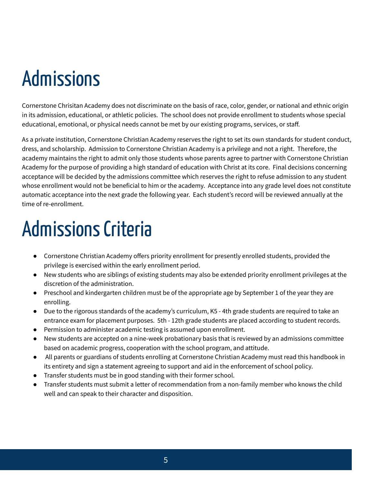#### Admissions

Cornerstone Chrisitan Academy does not discriminate on the basis of race, color, gender, or national and ethnic origin in its admission, educational, or athletic policies. The school does not provide enrollment to students whose special educational, emotional, or physical needs cannot be met by our existing programs, services, or staff.

As a private institution, Cornerstone Christian Academy reserves the right to set its own standards for student conduct, dress, and scholarship. Admission to Cornerstone Christian Academy is a privilege and not a right. Therefore, the academy maintains the right to admit only those students whose parents agree to partner with Cornerstone Christian Academy for the purpose of providing a high standard of education with Christ at its core. Final decisions concerning acceptance will be decided by the admissions committee which reserves the right to refuse admission to any student whose enrollment would not be beneficial to him or the academy. Acceptance into any grade level does not constitute automatic acceptance into the next grade the following year. Each student's record will be reviewed annually at the time of re-enrollment.

### Admissions Criteria

- Cornerstone Christian Academy offers priority enrollment for presently enrolled students, provided the privilege is exercised within the early enrollment period.
- New students who are siblings of existing students may also be extended priority enrollment privileges at the discretion of the administration.
- Preschool and kindergarten children must be of the appropriate age by September 1 of the year they are enrolling.
- Due to the rigorous standards of the academy's curriculum, K5 4th grade students are required to take an entrance exam for placement purposes. 5th - 12th grade students are placed according to student records.
- Permission to administer academic testing is assumed upon enrollment.
- New students are accepted on a nine-week probationary basis that is reviewed by an admissions committee based on academic progress, cooperation with the school program, and attitude.
- All parents or guardians of students enrolling at Cornerstone Christian Academy must read this handbook in its entirety and sign a statement agreeing to support and aid in the enforcement of school policy.
- Transfer students must be in good standing with their former school.
- Transfer students must submit a letter of recommendation from a non-family member who knows the child well and can speak to their character and disposition.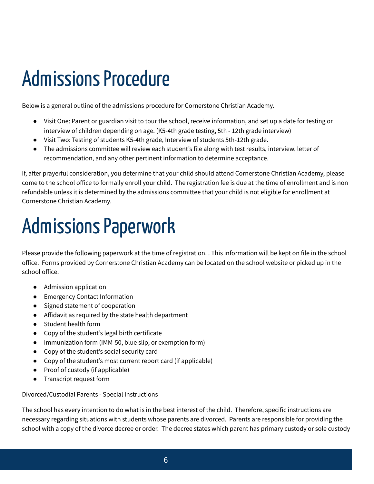#### Admissions Procedure

Below is a general outline of the admissions procedure for Cornerstone Christian Academy.

- Visit One: Parent or guardian visit to tour the school, receive information, and set up a date for testing or interview of children depending on age. (K5-4th grade testing, 5th - 12th grade interview)
- Visit Two: Testing of students K5-4th grade, Interview of students 5th-12th grade.
- The admissions committee will review each student's file along with test results, interview, letter of recommendation, and any other pertinent information to determine acceptance.

If, after prayerful consideration, you determine that your child should attend Cornerstone Christian Academy, please come to the school office to formally enroll your child. The registration fee is due at the time of enrollment and is non refundable unless it is determined by the admissions committee that your child is not eligible for enrollment at Cornerstone Christian Academy.

### Admissions Paperwork

Please provide the following paperwork at the time of registration. . This information will be kept on file in the school office. Forms provided by Cornerstone Christian Academy can be located on the school website or picked up in the school office.

- Admission application
- Emergency Contact Information
- Signed statement of cooperation
- Affidavit as required by the state health department
- Student health form
- Copy of the student's legal birth certificate
- Immunization form (IMM-50, blue slip, or exemption form)
- Copy of the student's social security card
- Copy of the student's most current report card (if applicable)
- Proof of custody (if applicable)
- Transcript request form

Divorced/Custodial Parents - Special Instructions

The school has every intention to do what is in the best interest of the child. Therefore, specific instructions are necessary regarding situations with students whose parents are divorced. Parents are responsible for providing the school with a copy of the divorce decree or order. The decree states which parent has primary custody or sole custody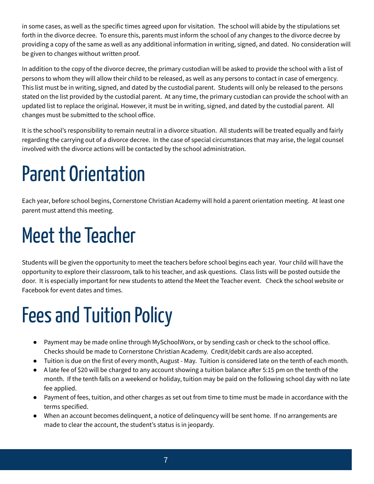in some cases, as well as the specific times agreed upon for visitation. The school will abide by the stipulations set forth in the divorce decree. To ensure this, parents must inform the school of any changes to the divorce decree by providing a copy of the same as well as any additional information in writing, signed, and dated. No consideration will be given to changes without written proof.

In addition to the copy of the divorce decree, the primary custodian will be asked to provide the school with a list of persons to whom they will allow their child to be released, as well as any persons to contact in case of emergency. This list must be in writing, signed, and dated by the custodial parent. Students will only be released to the persons stated on the list provided by the custodial parent. At any time, the primary custodian can provide the school with an updated list to replace the original. However, it must be in writing, signed, and dated by the custodial parent. All changes must be submitted to the school office.

It is the school's responsibility to remain neutral in a divorce situation. All students will be treated equally and fairly regarding the carrying out of a divorce decree. In the case of special circumstances that may arise, the legal counsel involved with the divorce actions will be contacted by the school administration.

## Parent Orientation

Each year, before school begins, Cornerstone Christian Academy will hold a parent orientation meeting. At least one parent must attend this meeting.

## **Meet the Teacher**

Students will be given the opportunity to meet the teachers before school begins each year. Your child will have the opportunity to explore their classroom, talk to his teacher, and ask questions. Class lists will be posted outside the door. It is especially important for new students to attend the Meet the Teacher event. Check the school website or Facebook for event dates and times.

## **Fees and Tuition Policy**

- Payment may be made online through MySchoolWorx, or by sending cash or check to the school office. Checks should be made to Cornerstone Christian Academy. Credit/debit cards are also accepted.
- Tuition is due on the first of every month, August May. Tuition is considered late on the tenth of each month.
- A late fee of \$20 will be charged to any account showing a tuition balance after 5:15 pm on the tenth of the month. If the tenth falls on a weekend or holiday, tuition may be paid on the following school day with no late fee applied.
- Payment of fees, tuition, and other charges as set out from time to time must be made in accordance with the terms specified.
- When an account becomes delinquent, a notice of delinquency will be sent home. If no arrangements are made to clear the account, the student's status is in jeopardy.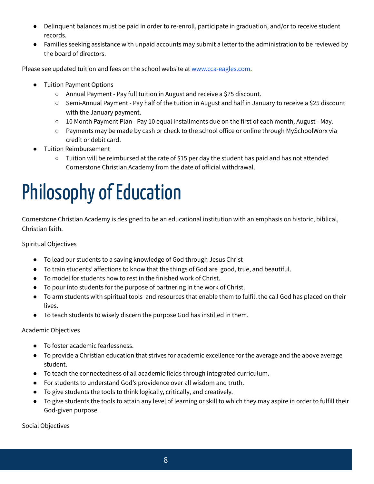- Delinquent balances must be paid in order to re-enroll, participate in graduation, and/or to receive student records.
- Families seeking assistance with unpaid accounts may submit a letter to the administration to be reviewed by the board of directors.

Please see updated tuition and fees on the school website at [www.cca-eagles.com.](http://www.cca-eagles.com/)

- **Tuition Payment Options** 
	- Annual Payment Pay full tuition in August and receive a \$75 discount.
	- Semi-Annual Payment Pay half of the tuition in August and half in January to receive a \$25 discount with the January payment.
	- $\circ$  10 Month Payment Plan Pay 10 equal installments due on the first of each month, August May.
	- Payments may be made by cash or check to the school office or online through MySchoolWorx via credit or debit card.
- **Tuition Reimbursement** 
	- Tuition will be reimbursed at the rate of \$15 per day the student has paid and has not attended Cornerstone Christian Academy from the date of official withdrawal.

## Philosophy of Education

Cornerstone Christian Academy is designed to be an educational institution with an emphasis on historic, biblical, Christian faith.

Spiritual Objectives

- To lead our students to a saving knowledge of God through Jesus Christ
- To train students' affections to know that the things of God are good, true, and beautiful.
- To model for students how to rest in the finished work of Christ.
- To pour into students for the purpose of partnering in the work of Christ.
- To arm students with spiritual tools and resources that enable them to fulfill the call God has placed on their lives.
- To teach students to wisely discern the purpose God has instilled in them.

Academic Objectives

- To foster academic fearlessness.
- To provide a Christian education that strives for academic excellence for the average and the above average student.
- To teach the connectedness of all academic fields through integrated curriculum.
- For students to understand God's providence over all wisdom and truth.
- To give students the tools to think logically, critically, and creatively.
- To give students the tools to attain any level of learning or skill to which they may aspire in order to fulfill their God-given purpose.

Social Objectives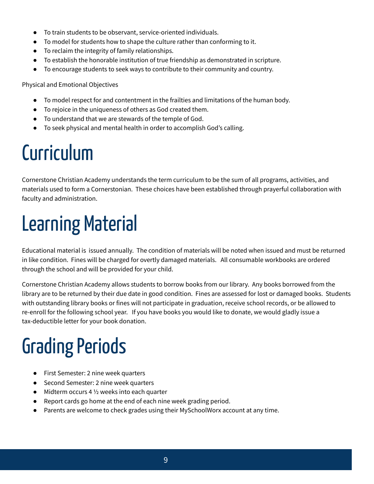- To train students to be observant, service-oriented individuals.
- To model for students how to shape the culture rather than conforming to it.
- To reclaim the integrity of family relationships.
- To establish the honorable institution of true friendship as demonstrated in scripture.
- To encourage students to seek ways to contribute to their community and country.

Physical and Emotional Objectives

- To model respect for and contentment in the frailties and limitations of the human body.
- To rejoice in the uniqueness of others as God created them.
- To understand that we are stewards of the temple of God.
- To seek physical and mental health in order to accomplish God's calling.

#### Curriculum

Cornerstone Christian Academy understands the term curriculum to be the sum of all programs, activities, and materials used to form a Cornerstonian. These choices have been established through prayerful collaboration with faculty and administration.

#### Learning Material

Educational material is issued annually. The condition of materials will be noted when issued and must be returned in like condition. Fines will be charged for overtly damaged materials. All consumable workbooks are ordered through the school and will be provided for your child.

Cornerstone Christian Academy allows students to borrow books from our library. Any books borrowed from the library are to be returned by their due date in good condition. Fines are assessed for lost or damaged books. Students with outstanding library books or fines will not participate in graduation, receive school records, or be allowed to re-enroll for the following school year. If you have books you would like to donate, we would gladly issue a tax-deductible letter for your book donation.

## **Grading Periods**

- First Semester: 2 nine week quarters
- Second Semester: 2 nine week quarters
- $\bullet$  Midterm occurs 4  $\frac{1}{2}$  weeks into each quarter
- Report cards go home at the end of each nine week grading period.
- Parents are welcome to check grades using their MySchoolWorx account at any time.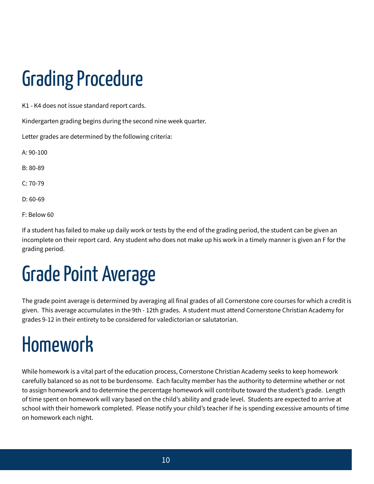## **Grading Procedure**

K1 - K4 does not issue standard report cards.

Kindergarten grading begins during the second nine week quarter.

Letter grades are determined by the following criteria:

A: 90-100

B: 80-89

 $C: 70-79$ 

D: 60-69

F: Below 60

If a student has failed to make up daily work or tests by the end of the grading period, the student can be given an incomplete on their report card. Any student who does not make up his work in a timely manner is given an F for the grading period.

## Grade Point Average

The grade point average is determined by averaging all final grades of all Cornerstone core courses for which a credit is given. This average accumulates in the 9th - 12th grades. A student must attend Cornerstone Christian Academy for grades 9-12 in their entirety to be considered for valedictorian or salutatorian.

#### Homework

While homework is a vital part of the education process, Cornerstone Christian Academy seeks to keep homework carefully balanced so as not to be burdensome. Each faculty member has the authority to determine whether or not to assign homework and to determine the percentage homework will contribute toward the student's grade. Length of time spent on homework will vary based on the child's ability and grade level. Students are expected to arrive at school with their homework completed. Please notify your child's teacher if he is spending excessive amounts of time on homework each night.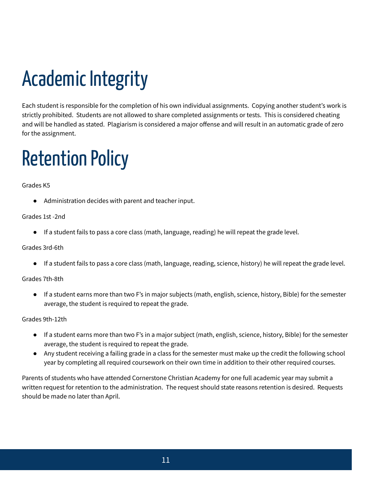## Academic Integrity

Each student is responsible for the completion of his own individual assignments. Copying another student's work is strictly prohibited. Students are not allowed to share completed assignments or tests. This is considered cheating and will be handled as stated. Plagiarism is considered a major offense and will result in an automatic grade of zero for the assignment.

### **Retention Policy**

#### Grades K5

● Administration decides with parent and teacher input.

#### Grades 1st -2nd

● If a student fails to pass a core class (math, language, reading) he will repeat the grade level.

#### Grades 3rd-6th

● If a student fails to pass a core class (math, language, reading, science, history) he will repeat the grade level.

#### Grades 7th-8th

● If a student earns more than two F's in major subjects (math, english, science, history, Bible) for the semester average, the student is required to repeat the grade.

#### Grades 9th-12th

- If a student earns more than two F's in a major subject (math, english, science, history, Bible) for the semester average, the student is required to repeat the grade.
- Any student receiving a failing grade in a class for the semester must make up the credit the following school year by completing all required coursework on their own time in addition to their other required courses.

Parents of students who have attended Cornerstone Christian Academy for one full academic year may submit a written request for retention to the administration. The request should state reasons retention is desired. Requests should be made no later than April.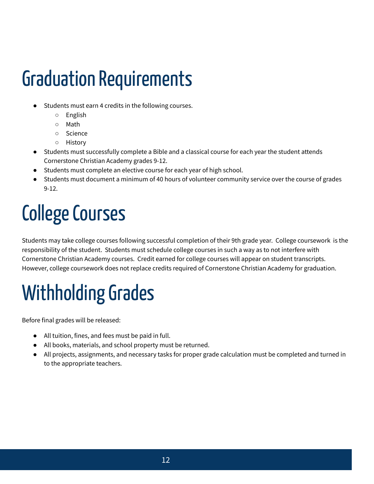### **Graduation Requirements**

- Students must earn 4 credits in the following courses.
	- English
	- Math
	- Science
	- History
- Students must successfully complete a Bible and a classical course for each year the student attends Cornerstone Christian Academy grades 9-12.
- Students must complete an elective course for each year of high school.
- Students must document a minimum of 40 hours of volunteer community service over the course of grades 9-12.

## **College Courses**

Students may take college courses following successful completion of their 9th grade year. College coursework is the responsibility of the student. Students must schedule college courses in such a way as to not interfere with Cornerstone Christian Academy courses. Credit earned for college courses will appear on student transcripts. However, college coursework does not replace credits required of Cornerstone Christian Academy for graduation.

## Withholding Grades

Before final grades will be released:

- All tuition, fines, and fees must be paid in full.
- All books, materials, and school property must be returned.
- All projects, assignments, and necessary tasks for proper grade calculation must be completed and turned in to the appropriate teachers.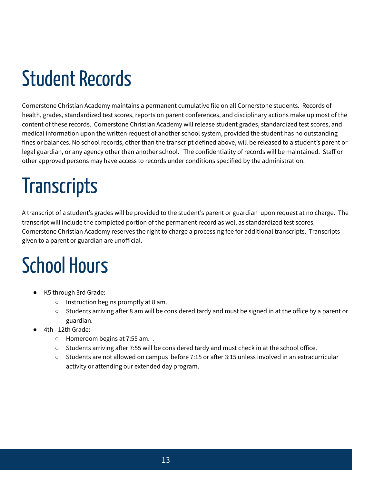## Student Records

Cornerstone Christian Academy maintains a permanent cumulative file on all Cornerstone students. Records of health, grades, standardized test scores, reports on parent conferences, and disciplinary actions make up most of the content of these records. Cornerstone Christian Academy will release student grades, standardized test scores, and medical information upon the written request of another school system, provided the student has no outstanding fines or balances. No school records, other than the transcript defined above, will be released to a student's parent or legal guardian, or any agency other than another school. The confidentiality of records will be maintained. Staff or other approved persons may have access to records under conditions specified by the administration.

## **Transcripts**

A transcript of a student's grades will be provided to the student's parent or guardian upon request at no charge. The transcript will include the completed portion of the permanent record as well as standardized test scores. Cornerstone Christian Academy reserves the right to charge a processing fee for additional transcripts. Transcripts given to a parent or guardian are unofficial.

### School Hours

- K5 through 3rd Grade:
	- Instruction begins promptly at 8 am.
	- $\circ$  Students arriving after 8 am will be considered tardy and must be signed in at the office by a parent or guardian.
- 4th 12th Grade:
	- Homeroom begins at 7:55 am. .
	- $\circ$  Students arriving after 7:55 will be considered tardy and must check in at the school office.
	- Students are not allowed on campus before 7:15 or after 3:15 unless involved in an extracurricular activity or attending our extended day program.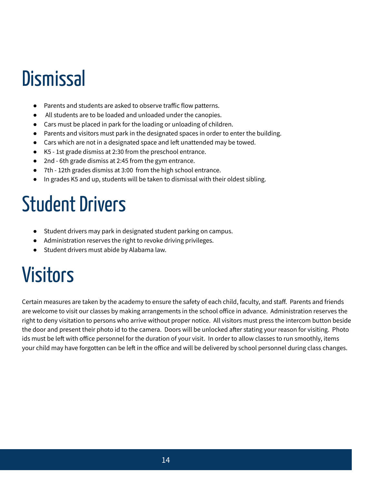#### **Dismissal**

- Parents and students are asked to observe traffic flow patterns.
- All students are to be loaded and unloaded under the canopies.
- Cars must be placed in park for the loading or unloading of children.
- Parents and visitors must park in the designated spaces in order to enter the building.
- $\bullet$  Cars which are not in a designated space and left unattended may be towed.
- K5 1st grade dismiss at 2:30 from the preschool entrance.
- 2nd 6th grade dismiss at 2:45 from the gym entrance.
- 7th 12th grades dismiss at 3:00 from the high school entrance.
- In grades K5 and up, students will be taken to dismissal with their oldest sibling.

#### **Student Drivers**

- Student drivers may park in designated student parking on campus.
- Administration reserves the right to revoke driving privileges.
- Student drivers must abide by Alabama law.

#### Visitors

Certain measures are taken by the academy to ensure the safety of each child, faculty, and staff. Parents and friends are welcome to visit our classes by making arrangements in the school office in advance. Administration reserves the right to deny visitation to persons who arrive without proper notice. All visitors must press the intercom button beside the door and present their photo id to the camera. Doors will be unlocked after stating your reason for visiting. Photo ids must be left with office personnel for the duration of your visit. In order to allow classes to run smoothly, items your child may have forgotten can be left in the office and will be delivered by school personnel during class changes.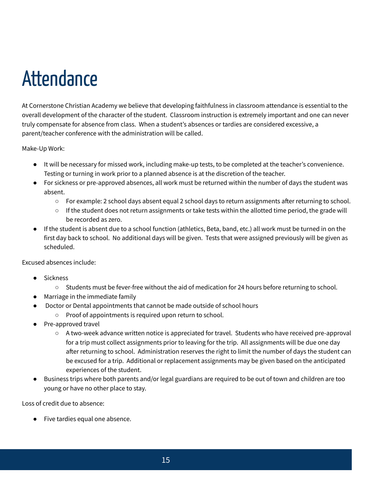### **Attendance**

At Cornerstone Christian Academy we believe that developing faithfulness in classroom attendance is essential to the overall development of the character of the student. Classroom instruction is extremely important and one can never truly compensate for absence from class. When a student's absences or tardies are considered excessive, a parent/teacher conference with the administration will be called.

Make-Up Work:

- It will be necessary for missed work, including make-up tests, to be completed at the teacher's convenience. Testing or turning in work prior to a planned absence is at the discretion of the teacher.
- For sickness or pre-approved absences, all work must be returned within the number of days the student was absent.
	- $\circ$  For example: 2 school days absent equal 2 school days to return assignments after returning to school.
	- If the student does not return assignments or take tests within the allotted time period, the grade will be recorded as zero.
- If the student is absent due to a school function (athletics, Beta, band, etc.) all work must be turned in on the first day back to school. No additional days will be given. Tests that were assigned previously will be given as scheduled.

Excused absences include:

- **Sickness** 
	- Students must be fever-free without the aid of medication for 24 hours before returning to school.
- Marriage in the immediate family
- Doctor or Dental appointments that cannot be made outside of school hours
	- Proof of appointments is required upon return to school.
- Pre-approved travel
	- A two-week advance written notice is appreciated for travel. Students who have received pre-approval for a trip must collect assignments prior to leaving for the trip. All assignments will be due one day after returning to school. Administration reserves the right to limit the number of days the student can be excused for a trip. Additional or replacement assignments may be given based on the anticipated experiences of the student.
- Business trips where both parents and/or legal guardians are required to be out of town and children are too young or have no other place to stay.

Loss of credit due to absence:

● Five tardies equal one absence.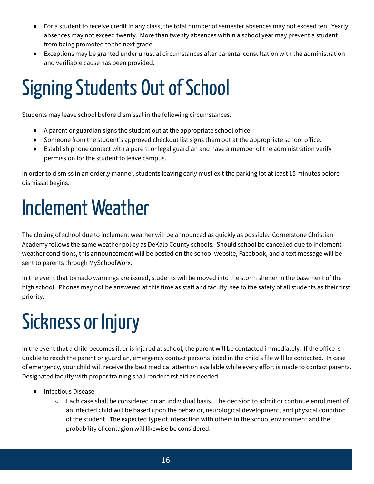- For a student to receive credit in any class, the total number of semester absences may not exceed ten. Yearly absences may not exceed twenty. More than twenty absences within a school year may prevent a student from being promoted to the next grade.
- Exceptions may be granted under unusual circumstances after parental consultation with the administration and verifiable cause has been provided.

## Signing Students Out of School

Students may leave school before dismissal in the following circumstances.

- A parent or guardian signs the student out at the appropriate school office.
- Someone from the student's approved checkout list signs them out at the appropriate school office.
- Establish phone contact with a parent or legal guardian and have a member of the administration verify permission for the student to leave campus.

In order to dismiss in an orderly manner, students leaving early must exit the parking lot at least 15 minutes before dismissal begins.

### InclementWeather

The closing of school due to inclement weather will be announced as quickly as possible. Cornerstone Christian Academy follows the same weather policy as DeKalb County schools. Should school be cancelled due to inclement weather conditions, this announcement will be posted on the school website, Facebook, and a text message will be sent to parents through MySchoolWorx.

In the event that tornado warnings are issued, students will be moved into the storm shelter in the basement of the high school. Phones may not be answered at this time as staff and faculty see to the safety of all students as their first priority.

## Sickness or Injury

In the event that a child becomes ill or is injured at school, the parent will be contacted immediately. If the office is unable to reach the parent or guardian, emergency contact persons listed in the child's file will be contacted. In case of emergency, your child will receive the best medical attention available while every effort is made to contact parents. Designated faculty with proper training shall render first aid as needed.

- Infectious Disease
	- $\circ$  Each case shall be considered on an individual basis. The decision to admit or continue enrollment of an infected child will be based upon the behavior, neurological development, and physical condition of the student. The expected type of interaction with others in the school environment and the probability of contagion will likewise be considered.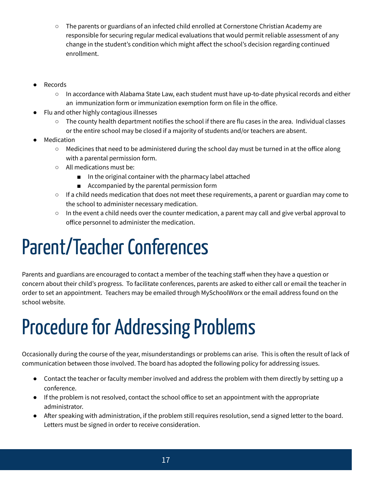- The parents or guardians of an infected child enrolled at Cornerstone Christian Academy are responsible for securing regular medical evaluations that would permit reliable assessment of any change in the student's condition which might affect the school's decision regarding continued enrollment.
- **Records** 
	- In accordance with Alabama State Law, each student must have up-to-date physical records and either an immunization form or immunization exemption form on file in the office.
- Flu and other highly contagious illnesses
	- The county health department notifies the school if there are flu cases in the area. Individual classes or the entire school may be closed if a majority of students and/or teachers are absent.
- Medication
	- Medicines that need to be administered during the school day must be turned in at the office along with a parental permission form.
	- All medications must be:
		- In the original container with the pharmacy label attached
		- Accompanied by the parental permission form
	- If a child needs medication that does not meet these requirements, a parent or guardian may come to the school to administer necessary medication.
	- $\circ$  In the event a child needs over the counter medication, a parent may call and give verbal approval to office personnel to administer the medication.

### Parent/Teacher Conferences

Parents and guardians are encouraged to contact a member of the teaching staff when they have a question or concern about their child's progress. To facilitate conferences, parents are asked to either call or email the teacher in order to set an appointment. Teachers may be emailed through MySchoolWorx or the email address found on the school website.

## Procedure for Addressing Problems

Occasionally during the course of the year, misunderstandings or problems can arise. This is often the result of lack of communication between those involved. The board has adopted the following policy for addressing issues.

- Contact the teacher or faculty member involved and address the problem with them directly by setting up a conference.
- If the problem is not resolved, contact the school office to set an appointment with the appropriate administrator.
- After speaking with administration, if the problem still requires resolution, send a signed letter to the board. Letters must be signed in order to receive consideration.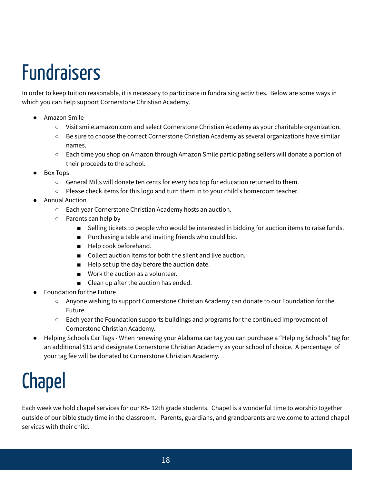## Fundraisers

In order to keep tuition reasonable, it is necessary to participate in fundraising activities. Below are some ways in which you can help support Cornerstone Christian Academy.

- Amazon Smile
	- Visit smile.amazon.com and select Cornerstone Christian Academy as your charitable organization.
	- Be sure to choose the correct Cornerstone Christian Academy as several organizations have similar names.
	- Each time you shop on Amazon through Amazon Smile participating sellers will donate a portion of their proceeds to the school.
- Box Tops
	- General Mills will donate ten cents for every box top for education returned to them.
	- Please check items for this logo and turn them in to your child's homeroom teacher.
- **Annual Auction** 
	- Each year Cornerstone Christian Academy hosts an auction.
	- Parents can help by
		- Selling tickets to people who would be interested in bidding for auction items to raise funds.
		- Purchasing a table and inviting friends who could bid.
		- Help cook beforehand.
		- Collect auction items for both the silent and live auction.
		- Help set up the day before the auction date.
		- Work the auction as a volunteer.
		- $\Box$  Clean up after the auction has ended.
- **Foundation for the Future** 
	- Anyone wishing to support Cornerstone Christian Academy can donate to our Foundation for the Future.
	- Each year the Foundation supports buildings and programs for the continued improvement of Cornerstone Christian Academy.
- Helping Schools Car Tags When renewing your Alabama car tag you can purchase a "Helping Schools" tag for an additional \$15 and designate Cornerstone Christian Academy as your school of choice. A percentage of your tag fee will be donated to Cornerstone Christian Academy.

#### Chapel

Each week we hold chapel services for our K5- 12th grade students. Chapel is a wonderful time to worship together outside of our bible study time in the classroom. Parents, guardians, and grandparents are welcome to attend chapel services with their child.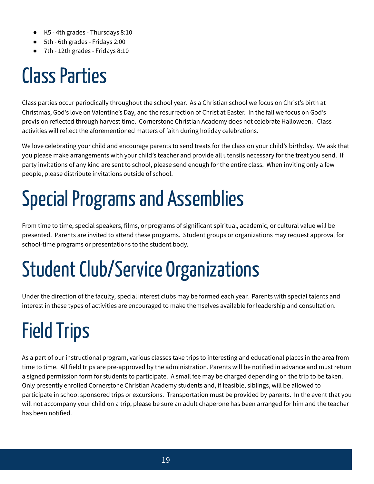- K5 4th grades Thursdays 8:10
- 5th 6th grades Fridays 2:00
- 7th 12th grades Fridays 8:10

### **Class Parties**

Class parties occur periodically throughout the school year. As a Christian school we focus on Christ's birth at Christmas, God's love on Valentine's Day, and the resurrection of Christ at Easter. In the fall we focus on God's provision reflected through harvest time. Cornerstone Christian Academy does not celebrate Halloween. Class activities will reflect the aforementioned matters of faith during holiday celebrations.

We love celebrating your child and encourage parents to send treats for the class on your child's birthday. We ask that you please make arrangements with your child's teacher and provide all utensils necessary for the treat you send. If party invitations of any kind are sent to school, please send enough for the entire class. When inviting only a few people, please distribute invitations outside of school.

## Special Programs and Assemblies

From time to time, special speakers, films, or programs of significant spiritual, academic, or cultural value will be presented. Parents are invited to attend these programs. Student groups or organizations may request approval for school-time programs or presentations to the student body.

## **Student Club/Service Organizations**

Under the direction of the faculty, special interest clubs may be formed each year. Parents with special talents and interest in these types of activities are encouraged to make themselves available for leadership and consultation.

## **Field Trips**

As a part of our instructional program, various classes take trips to interesting and educational places in the area from time to time. All field trips are pre-approved by the administration. Parents will be notified in advance and must return a signed permission form for students to participate. A small fee may be charged depending on the trip to be taken. Only presently enrolled Cornerstone Christian Academy students and, if feasible, siblings, will be allowed to participate in school sponsored trips or excursions. Transportation must be provided by parents. In the event that you will not accompany your child on a trip, please be sure an adult chaperone has been arranged for him and the teacher has been notified.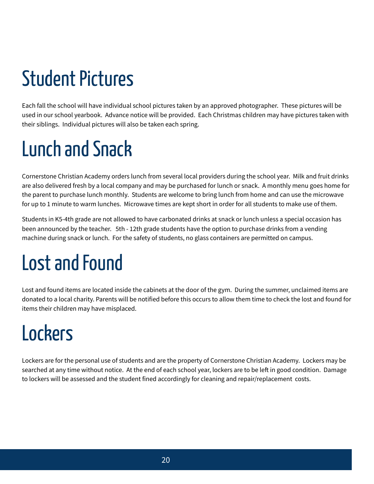## **Student Pictures**

Each fall the school will have individual school pictures taken by an approved photographer. These pictures will be used in our school yearbook. Advance notice will be provided. Each Christmas children may have pictures taken with their siblings. Individual pictures will also be taken each spring.

## Lunch and Snack

Cornerstone Christian Academy orders lunch from several local providers during the school year. Milk and fruit drinks are also delivered fresh by a local company and may be purchased for lunch or snack. A monthly menu goes home for the parent to purchase lunch monthly. Students are welcome to bring lunch from home and can use the microwave for up to 1 minute to warm lunches. Microwave times are kept short in order for all students to make use of them.

Students in K5-4th grade are not allowed to have carbonated drinks at snack or lunch unless a special occasion has been announced by the teacher. 5th - 12th grade students have the option to purchase drinks from a vending machine during snack or lunch. For the safety of students, no glass containers are permitted on campus.

## Lost and Found

Lost and found items are located inside the cabinets at the door of the gym. During the summer, unclaimed items are donated to a local charity. Parents will be notified before this occurs to allow them time to check the lost and found for items their children may have misplaced.

## **Lockers**

Lockers are for the personal use of students and are the property of Cornerstone Christian Academy. Lockers may be searched at any time without notice. At the end of each school year, lockers are to be left in good condition. Damage to lockers will be assessed and the student fined accordingly for cleaning and repair/replacement costs.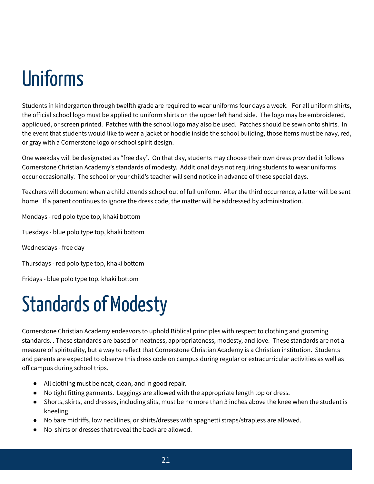## **Ilniforms**

Students in kindergarten through twelfth grade are required to wear uniforms four days a week. For all uniform shirts, the official school logo must be applied to uniform shirts on the upper left hand side. The logo may be embroidered, appliqued, or screen printed. Patches with the school logo may also be used. Patches should be sewn onto shirts. In the event that students would like to wear a jacket or hoodie inside the school building, those items must be navy, red, or gray with a Cornerstone logo or school spirit design.

One weekday will be designated as "free day". On that day, students may choose their own dress provided it follows Cornerstone Christian Academy's standards of modesty. Additional days not requiring students to wear uniforms occur occasionally. The school or your child's teacher will send notice in advance of these special days.

Teachers will document when a child attends school out of full uniform. After the third occurrence, a letter will be sent home. If a parent continues to ignore the dress code, the matter will be addressed by administration.

Mondays - red polo type top, khaki bottom

Tuesdays - blue polo type top, khaki bottom

Wednesdays - free day

Thursdays - red polo type top, khaki bottom

Fridays - blue polo type top, khaki bottom

#### Standards of Modesty

Cornerstone Christian Academy endeavors to uphold Biblical principles with respect to clothing and grooming standards. . These standards are based on neatness, appropriateness, modesty, and love. These standards are not a measure of spirituality, but a way to reflect that Cornerstone Christian Academy is a Christian institution. Students and parents are expected to observe this dress code on campus during regular or extracurricular activities as well as off campus during school trips.

- All clothing must be neat, clean, and in good repair.
- No tight fitting garments. Leggings are allowed with the appropriate length top or dress.
- Shorts, skirts, and dresses, including slits, must be no more than 3 inches above the knee when the student is kneeling.
- No bare midriffs, low necklines, or shirts/dresses with spaghetti straps/strapless are allowed.
- No shirts or dresses that reveal the back are allowed.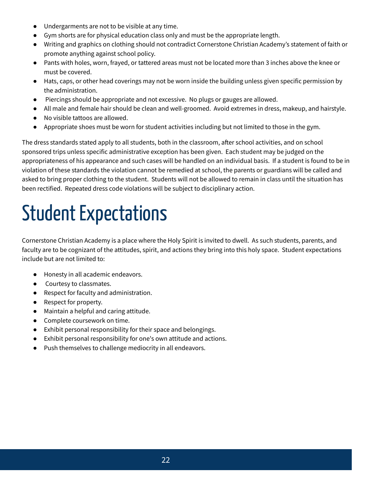- Undergarments are not to be visible at any time.
- Gym shorts are for physical education class only and must be the appropriate length.
- Writing and graphics on clothing should not contradict Cornerstone Christian Academy's statement of faith or promote anything against school policy.
- Pants with holes, worn, frayed, or tattered areas must not be located more than 3 inches above the knee or must be covered.
- Hats, caps, or other head coverings may not be worn inside the building unless given specific permission by the administration.
- Piercings should be appropriate and not excessive. No plugs or gauges are allowed.
- All male and female hair should be clean and well-groomed. Avoid extremes in dress, makeup, and hairstyle.
- No visible tattoos are allowed.
- Appropriate shoes must be worn for student activities including but not limited to those in the gym.

The dress standards stated apply to all students, both in the classroom, after school activities, and on school sponsored trips unless specific administrative exception has been given. Each student may be judged on the appropriateness of his appearance and such cases will be handled on an individual basis. If a student is found to be in violation of these standards the violation cannot be remedied at school, the parents or guardians will be called and asked to bring proper clothing to the student. Students will not be allowed to remain in class until the situation has been rectified. Repeated dress code violations will be subject to disciplinary action.

## **Student Expectations**

Cornerstone Christian Academy is a place where the Holy Spirit is invited to dwell. As such students, parents, and faculty are to be cognizant of the attitudes, spirit, and actions they bring into this holy space. Student expectations include but are not limited to:

- Honesty in all academic endeavors.
- Courtesy to classmates.
- Respect for faculty and administration.
- Respect for property.
- Maintain a helpful and caring attitude.
- Complete coursework on time.
- Exhibit personal responsibility for their space and belongings.
- Exhibit personal responsibility for one's own attitude and actions.
- Push themselves to challenge mediocrity in all endeavors.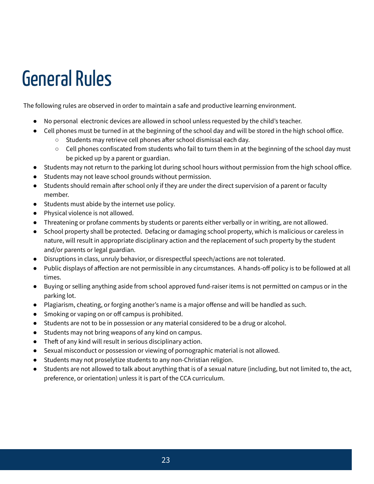#### General Rules

The following rules are observed in order to maintain a safe and productive learning environment.

- No personal electronic devices are allowed in school unless requested by the child's teacher.
- Cell phones must be turned in at the beginning of the school day and will be stored in the high school office.
	- $\circ$  Students may retrieve cell phones after school dismissal each day.
	- $\circ$  Cell phones confiscated from students who fail to turn them in at the beginning of the school day must be picked up by a parent or guardian.
- Students may not return to the parking lot during school hours without permission from the high school office.
- Students may not leave school grounds without permission.
- Students should remain after school only if they are under the direct supervision of a parent or faculty member.
- Students must abide by the internet use policy.
- Physical violence is not allowed.
- Threatening or profane comments by students or parents either verbally or in writing, are not allowed.
- School property shall be protected. Defacing or damaging school property, which is malicious or careless in nature, will result in appropriate disciplinary action and the replacement of such property by the student and/or parents or legal guardian.
- Disruptions in class, unruly behavior, or disrespectful speech/actions are not tolerated.
- Public displays of affection are not permissible in any circumstances. A hands-off policy is to be followed at all times.
- Buying or selling anything aside from school approved fund-raiser items is not permitted on campus or in the parking lot.
- Plagiarism, cheating, or forging another's name is a major offense and will be handled as such.
- Smoking or vaping on or off campus is prohibited.
- Students are not to be in possession or any material considered to be a drug or alcohol.
- Students may not bring weapons of any kind on campus.
- $\bullet$  Theft of any kind will result in serious disciplinary action.
- Sexual misconduct or possession or viewing of pornographic material is not allowed.
- Students may not proselytize students to any non-Christian religion.
- Students are not allowed to talk about anything that is of a sexual nature (including, but not limited to, the act, preference, or orientation) unless it is part of the CCA curriculum.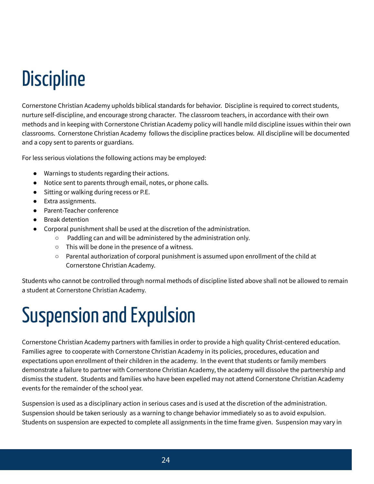## **Discipline**

Cornerstone Christian Academy upholds biblical standards for behavior. Discipline is required to correct students, nurture self-discipline, and encourage strong character. The classroom teachers, in accordance with their own methods and in keeping with Cornerstone Christian Academy policy will handle mild discipline issues within their own classrooms. Cornerstone Christian Academy follows the discipline practices below. All discipline will be documented and a copy sent to parents or guardians.

For less serious violations the following actions may be employed:

- Warnings to students regarding their actions.
- Notice sent to parents through email, notes, or phone calls.
- Sitting or walking during recess or P.E.
- Extra assignments.
- Parent-Teacher conference
- Break detention
- Corporal punishment shall be used at the discretion of the administration.
	- Paddling can and will be administered by the administration only.
	- This will be done in the presence of a witness.
	- Parental authorization of corporal punishment is assumed upon enrollment of the child at Cornerstone Christian Academy.

Students who cannot be controlled through normal methods of discipline listed above shall not be allowed to remain a student at Cornerstone Christian Academy.

## Suspension and Expulsion

Cornerstone Christian Academy partners with families in order to provide a high quality Christ-centered education. Families agree to cooperate with Cornerstone Christian Academy in its policies, procedures, education and expectations upon enrollment of their children in the academy. In the event that students or family members demonstrate a failure to partner with Cornerstone Christian Academy, the academy will dissolve the partnership and dismiss the student. Students and families who have been expelled may not attend Cornerstone Christian Academy events for the remainder of the school year.

Suspension is used as a disciplinary action in serious cases and is used at the discretion of the administration. Suspension should be taken seriously as a warning to change behavior immediately so as to avoid expulsion. Students on suspension are expected to complete all assignments in the time frame given. Suspension may vary in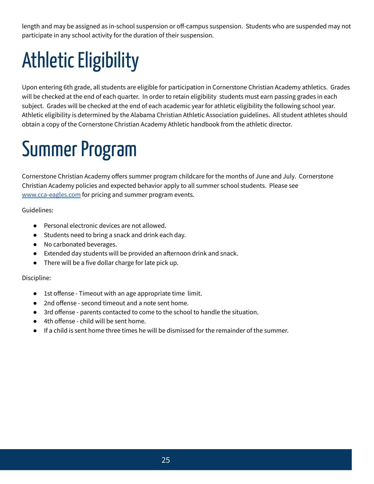length and may be assigned as in-school suspension or off-campus suspension. Students who are suspended may not participate in any school activity for the duration of their suspension.

## Athletic Eligibility

Upon entering 6th grade, all students are eligible for participation in Cornerstone Christian Academy athletics. Grades will be checked at the end of each quarter. In order to retain eligibility students must earn passing grades in each subject. Grades will be checked at the end of each academic year for athletic eligibility the following school year. Athletic eligibility is determined by the Alabama Christian Athletic Association guidelines. All student athletes should obtain a copy of the Cornerstone Christian Academy Athletic handbook from the athletic director.

## Summer Program

Cornerstone Christian Academy offers summer program childcare for the months of June and July. Cornerstone Christian Academy policies and expected behavior apply to all summer school students. Please see [www.cca-eagles.com](http://www.cca-eagles.com/) for pricing and summer program events.

Guidelines:

- Personal electronic devices are not allowed.
- Students need to bring a snack and drink each day.
- No carbonated beverages.
- $\bullet$  Extended day students will be provided an afternoon drink and snack.
- There will be a five dollar charge for late pick up.

Discipline:

- 1st offense Timeout with an age appropriate time limit.
- 2nd offense second timeout and a note sent home.
- 3rd offense parents contacted to come to the school to handle the situation.
- 4th offense child will be sent home.
- If a child is sent home three times he will be dismissed for the remainder of the summer.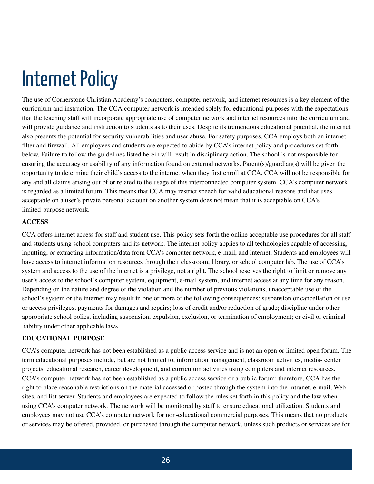#### **Internet Policy**

The use of Cornerstone Christian Academy's computers, computer network, and internet resources is a key element of the curriculum and instruction. The CCA computer network is intended solely for educational purposes with the expectations that the teaching staff will incorporate appropriate use of computer network and internet resources into the curriculum and will provide guidance and instruction to students as to their uses. Despite its tremendous educational potential, the internet also presents the potential for security vulnerabilities and user abuse. For safety purposes, CCA employs both an internet filter and firewall. All employees and students are expected to abide by CCA's internet policy and procedures set forth below. Failure to follow the guidelines listed herein will result in disciplinary action. The school is not responsible for ensuring the accuracy or usability of any information found on external networks. Parent(s)/guardian(s) will be given the opportunity to determine their child's access to the internet when they first enroll at CCA. CCA will not be responsible for any and all claims arising out of or related to the usage of this interconnected computer system. CCA's computer network is regarded as a limited forum. This means that CCA may restrict speech for valid educational reasons and that uses acceptable on a user's private personal account on another system does not mean that it is acceptable on CCA's limited-purpose network.

#### **ACCESS**

CCA offers internet access for staff and student use. This policy sets forth the online acceptable use procedures for all staff and students using school computers and its network. The internet policy applies to all technologies capable of accessing, inputting, or extracting information/data from CCA's computer network, e-mail, and internet. Students and employees will have access to internet information resources through their classroom, library, or school computer lab. The use of CCA's system and access to the use of the internet is a privilege, not a right. The school reserves the right to limit or remove any user's access to the school's computer system, equipment, e-mail system, and internet access at any time for any reason. Depending on the nature and degree of the violation and the number of previous violations, unacceptable use of the school's system or the internet may result in one or more of the following consequences: suspension or cancellation of use or access privileges; payments for damages and repairs; loss of credit and/or reduction of grade; discipline under other appropriate school polies, including suspension, expulsion, exclusion, or termination of employment; or civil or criminal liability under other applicable laws.

#### **EDUCATIONAL PURPOSE**

CCA's computer network has not been established as a public access service and is not an open or limited open forum. The term educational purposes include, but are not limited to, information management, classroom activities, media- center projects, educational research, career development, and curriculum activities using computers and internet resources. CCA's computer network has not been established as a public access service or a public forum; therefore, CCA has the right to place reasonable restrictions on the material accessed or posted through the system into the intranet, e-mail, Web sites, and list server. Students and employees are expected to follow the rules set forth in this policy and the law when using CCA's computer network. The network will be monitored by staff to ensure educational utilization. Students and employees may not use CCA's computer network for non-educational commercial purposes. This means that no products or services may be offered, provided, or purchased through the computer network, unless such products or services are for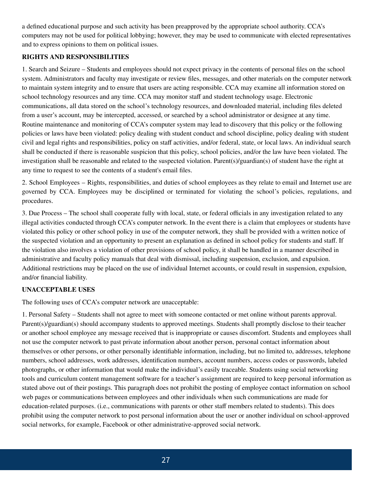a defined educational purpose and such activity has been preapproved by the appropriate school authority. CCA's computers may not be used for political lobbying; however, they may be used to communicate with elected representatives and to express opinions to them on political issues.

#### **RIGHTS AND RESPONSIBILITIES**

1. Search and Seizure – Students and employees should not expect privacy in the contents of personal files on the school system. Administrators and faculty may investigate or review files, messages, and other materials on the computer network to maintain system integrity and to ensure that users are acting responsible. CCA may examine all information stored on school technology resources and any time. CCA may monitor staff and student technology usage. Electronic communications, all data stored on the school's technology resources, and downloaded material, including files deleted from a user's account, may be intercepted, accessed, or searched by a school administrator or designee at any time. Routine maintenance and monitoring of CCA's computer system may lead to discovery that this policy or the following policies or laws have been violated: policy dealing with student conduct and school discipline, policy dealing with student civil and legal rights and responsibilities, policy on staff activities, and/or federal, state, or local laws. An individual search shall be conducted if there is reasonable suspicion that this policy, school policies, and/or the law have been violated. The investigation shall be reasonable and related to the suspected violation. Parent(s)/guardian(s) of student have the right at any time to request to see the contents of a student's email files.

2. School Employees – Rights, responsibilities, and duties of school employees as they relate to email and Internet use are governed by CCA. Employees may be disciplined or terminated for violating the school's policies, regulations, and procedures.

3. Due Process – The school shall cooperate fully with local, state, or federal officials in any investigation related to any illegal activities conducted through CCA's computer network. In the event there is a claim that employees or students have violated this policy or other school policy in use of the computer network, they shall be provided with a written notice of the suspected violation and an opportunity to present an explanation as defined in school policy for students and staff. If the violation also involves a violation of other provisions of school policy, it shall be handled in a manner described in administrative and faculty policy manuals that deal with dismissal, including suspension, exclusion, and expulsion. Additional restrictions may be placed on the use of individual Internet accounts, or could result in suspension, expulsion, and/or financial liability.

#### **UNACCEPTABLE USES**

The following uses of CCA's computer network are unacceptable:

1. Personal Safety – Students shall not agree to meet with someone contacted or met online without parents approval. Parent(s)/guardian(s) should accompany students to approved meetings. Students shall promptly disclose to their teacher or another school employee any message received that is inappropriate or causes discomfort. Students and employees shall not use the computer network to past private information about another person, personal contact information about themselves or other persons, or other personally identifiable information, including, but no limited to, addresses, telephone numbers, school addresses, work addresses, identification numbers, account numbers, access codes or passwords, labeled photographs, or other information that would make the individual's easily traceable. Students using social networking tools and curriculum content management software for a teacher's assignment are required to keep personal information as stated above out of their postings. This paragraph does not prohibit the posting of employee contact information on school web pages or communications between employees and other individuals when such communications are made for education-related purposes. (i.e., communications with parents or other staff members related to students). This does prohibit using the computer network to post personal information about the user or another individual on school-approved social networks, for example, Facebook or other administrative-approved social network.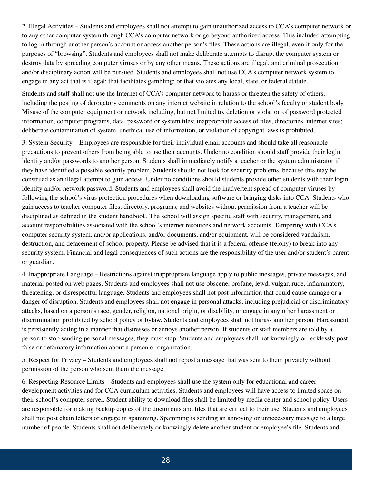2. Illegal Activities – Students and employees shall not attempt to gain unauthorized access to CCA's computer network or to any other computer system through CCA's computer network or go beyond authorized access. This included attempting to log in through another person's account or access another person's files. These actions are illegal, even if only for the purposes of "browsing". Students and employees shall not make deliberate attempts to disrupt the computer system or destroy data by spreading computer viruses or by any other means. These actions are illegal, and criminal prosecution and/or disciplinary action will be pursued. Students and employees shall not use CCA's computer network system to engage in any act that is illegal; that facilitates gambling; or that violates any local, state, or federal statute.

Students and staff shall not use the Internet of CCA's computer network to harass or threaten the safety of others, including the posting of derogatory comments on any internet website in relation to the school's faculty or student body. Misuse of the computer equipment or network including, but not limited to, deletion or violation of password protected information, computer programs, data, password or system files; inappropriate access of files, directories, internet sites; deliberate contamination of system, unethical use of information, or violation of copyright laws is prohibited.

3. System Security – Employees are responsible for their individual email accounts and should take all reasonable precautions to prevent others from being able to use their accounts. Under no condition should staff provide their login identity and/or passwords to another person. Students shall immediately notify a teacher or the system administrator if they have identified a possible security problem. Students should not look for security problems, because this may be construed as an illegal attempt to gain access. Under no conditions should students provide other students with their login identity and/or network password. Students and employees shall avoid the inadvertent spread of computer viruses by following the school's virus protection procedures when downloading software or bringing disks into CCA. Students who gain access to teacher computer files, directory, programs, and websites without permission from a teacher will be disciplined as defined in the student handbook. The school will assign specific staff with security, management, and account responsibilities associated with the school's internet resources and network accounts. Tampering with CCA's computer security system, and/or applications, and/or documents, and/or equipment, will be considered vandalism, destruction, and defacement of school property. Please be advised that it is a federal offense (felony) to break into any security system. Financial and legal consequences of such actions are the responsibility of the user and/or student's parent or guardian.

4. Inappropriate Language – Restrictions against inappropriate language apply to public messages, private messages, and material posted on web pages. Students and employees shall not use obscene, profane, lewd, vulgar, rude, inflammatory, threatening, or disrespectful language. Students and employees shall not post information that could cause damage or a danger of disruption. Students and employees shall not engage in personal attacks, including prejudicial or discriminatory attacks, based on a person's race, gender, religion, national origin, or disability, or engage in any other harassment or discrimination prohibited by school policy or bylaw. Students and employees shall not harass another person. Harassment is persistently acting in a manner that distresses or annoys another person. If students or staff members are told by a person to stop sending personal messages, they must stop. Students and employees shall not knowingly or recklessly post false or defamatory information about a person or organization.

5. Respect for Privacy – Students and employees shall not repost a message that was sent to them privately without permission of the person who sent them the message.

6. Respecting Resource Limits – Students and employees shall use the system only for educational and career development activities and for CCA curriculum activities. Students and employees will have access to limited space on their school's computer server. Student ability to download files shall be limited by media center and school policy. Users are responsible for making backup copies of the documents and files that are critical to their use. Students and employees shall not post chain letters or engage in spamming. Spamming is sending an annoying or unnecessary message to a large number of people. Students shall not deliberately or knowingly delete another student or employee's file. Students and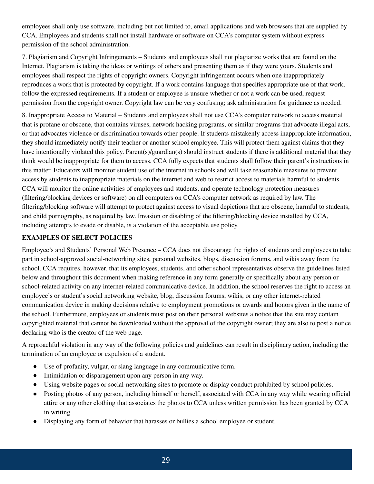employees shall only use software, including but not limited to, email applications and web browsers that are supplied by CCA. Employees and students shall not install hardware or software on CCA's computer system without express permission of the school administration.

7. Plagiarism and Copyright Infringements – Students and employees shall not plagiarize works that are found on the Internet. Plagiarism is taking the ideas or writings of others and presenting them as if they were yours. Students and employees shall respect the rights of copyright owners. Copyright infringement occurs when one inappropriately reproduces a work that is protected by copyright. If a work contains language that specifies appropriate use of that work, follow the expressed requirements. If a student or employee is unsure whether or not a work can be used, request permission from the copyright owner. Copyright law can be very confusing; ask administration for guidance as needed.

8. Inappropriate Access to Material – Students and employees shall not use CCA's computer network to access material that is profane or obscene, that contains viruses, network hacking programs, or similar programs that advocate illegal acts, or that advocates violence or discrimination towards other people. If students mistakenly access inappropriate information, they should immediately notify their teacher or another school employee. This will protect them against claims that they have intentionally violated this policy. Parent(s)/guardian(s) should instruct students if there is additional material that they think would be inappropriate for them to access. CCA fully expects that students shall follow their parent's instructions in this matter. Educators will monitor student use of the internet in schools and will take reasonable measures to prevent access by students to inappropriate materials on the internet and web to restrict access to materials harmful to students. CCA will monitor the online activities of employees and students, and operate technology protection measures (filtering/blocking devices or software) on all computers on CCA's computer network as required by law. The filtering/blocking software will attempt to protect against access to visual depictions that are obscene, harmful to students, and child pornography, as required by law. Invasion or disabling of the filtering/blocking device installed by CCA, including attempts to evade or disable, is a violation of the acceptable use policy.

#### **EXAMPLES OF SELECT POLICIES**

Employee's and Students' Personal Web Presence – CCA does not discourage the rights of students and employees to take part in school-approved social-networking sites, personal websites, blogs, discussion forums, and wikis away from the school. CCA requires, however, that its employees, students, and other school representatives observe the guidelines listed below and throughout this document when making reference in any form generally or specifically about any person or school-related activity on any internet-related communicative device. In addition, the school reserves the right to access an employee's or student's social networking website, blog, discussion forums, wikis, or any other internet-related communication device in making decisions relative to employment promotions or awards and honors given in the name of the school. Furthermore, employees or students must post on their personal websites a notice that the site may contain copyrighted material that cannot be downloaded without the approval of the copyright owner; they are also to post a notice declaring who is the creator of the web page.

A reproachful violation in any way of the following policies and guidelines can result in disciplinary action, including the termination of an employee or expulsion of a student.

- Use of profanity, vulgar, or slang language in any communicative form.
- Intimidation or disparagement upon any person in any way.
- Using website pages or social-networking sites to promote or display conduct prohibited by school policies.
- Posting photos of any person, including himself or herself, associated with CCA in any way while wearing official attire or any other clothing that associates the photos to CCA unless written permission has been granted by CCA in writing.
- Displaying any form of behavior that harasses or bullies a school employee or student.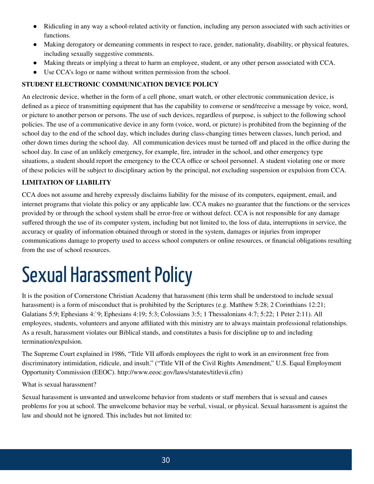- Ridiculing in any way a school-related activity or function, including any person associated with such activities or functions.
- Making derogatory or demeaning comments in respect to race, gender, nationality, disability, or physical features, including sexually suggestive comments.
- Making threats or implying a threat to harm an employee, student, or any other person associated with CCA.
- Use CCA's logo or name without written permission from the school.

#### **STUDENT ELECTRONIC COMMUNICATION DEVICE POLICY**

An electronic device, whether in the form of a cell phone, smart watch, or other electronic communication device, is defined as a piece of transmitting equipment that has the capability to converse or send/receive a message by voice, word, or picture to another person or persons. The use of such devices, regardless of purpose, is subject to the following school policies. The use of a communicative device in any form (voice, word, or picture) is prohibited from the beginning of the school day to the end of the school day, which includes during class-changing times between classes, lunch period, and other down times during the school day. All communication devices must be turned off and placed in the office during the school day. In case of an unlikely emergency, for example, fire, intruder in the school, and other emergency type situations, a student should report the emergency to the CCA office or school personnel. A student violating one or more of these policies will be subject to disciplinary action by the principal, not excluding suspension or expulsion from CCA.

#### **LIMITATION OF LIABILITY**

CCA does not assume and hereby expressly disclaims liability for the misuse of its computers, equipment, email, and internet programs that violate this policy or any applicable law. CCA makes no guarantee that the functions or the services provided by or through the school system shall be error-free or without defect. CCA is not responsible for any damage suffered through the use of its computer system, including but not limited to, the loss of data, interruptions in service, the accuracy or quality of information obtained through or stored in the system, damages or injuries from improper communications damage to property used to access school computers or online resources, or financial obligations resulting from the use of school resources.

#### Sexual Harassment Policy

It is the position of Cornerstone Christian Academy that harassment (this term shall be understood to include sexual harassment) is a form of misconduct that is prohibited by the Scriptures (e.g. Matthew 5:28; 2 Corinthians 12:21; Galatians 5:9; Ephesians 4: 9; Ephesians 4:19; 5:3; Colossians 3:5; 1 Thessalonians 4:7; 5:22; 1 Peter 2:11). All employees, students, volunteers and anyone affiliated with this ministry are to always maintain professional relationships. As a result, harassment violates our Biblical stands, and constitutes a basis for discipline up to and including termination/expulsion.

The Supreme Court explained in 1986, "Title VII affords employees the right to work in an environment free from discriminatory intimidation, ridicule, and insult." ("Title VII of the Civil Rights Amendment," U.S. Equal Employment Opportunity Commission (EEOC). http://www.eeoc.gov/laws/statutes/titlevii.cfm)

What is sexual harassment?

Sexual harassment is unwanted and unwelcome behavior from students or staff members that is sexual and causes problems for you at school. The unwelcome behavior may be verbal, visual, or physical. Sexual harassment is against the law and should not be ignored. This includes but not limited to: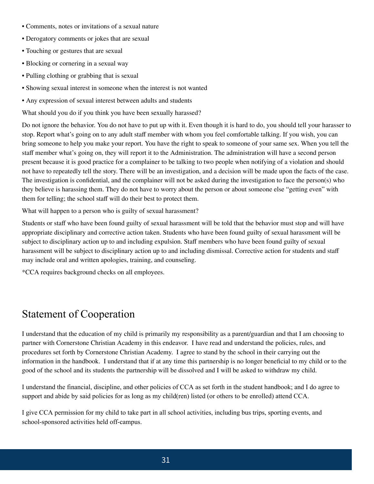- Comments, notes or invitations of a sexual nature
- Derogatory comments or jokes that are sexual
- Touching or gestures that are sexual
- Blocking or cornering in a sexual way
- Pulling clothing or grabbing that is sexual
- Showing sexual interest in someone when the interest is not wanted
- Any expression of sexual interest between adults and students

What should you do if you think you have been sexually harassed?

Do not ignore the behavior. You do not have to put up with it. Even though it is hard to do, you should tell your harasser to stop. Report what's going on to any adult staff member with whom you feel comfortable talking. If you wish, you can bring someone to help you make your report. You have the right to speak to someone of your same sex. When you tell the staff member what's going on, they will report it to the Administration. The administration will have a second person present because it is good practice for a complainer to be talking to two people when notifying of a violation and should not have to repeatedly tell the story. There will be an investigation, and a decision will be made upon the facts of the case. The investigation is confidential, and the complainer will not be asked during the investigation to face the person(s) who they believe is harassing them. They do not have to worry about the person or about someone else "getting even" with them for telling; the school staff will do their best to protect them.

What will happen to a person who is guilty of sexual harassment?

Students or staff who have been found guilty of sexual harassment will be told that the behavior must stop and will have appropriate disciplinary and corrective action taken. Students who have been found guilty of sexual harassment will be subject to disciplinary action up to and including expulsion. Staff members who have been found guilty of sexual harassment will be subject to disciplinary action up to and including dismissal. Corrective action for students and staff may include oral and written apologies, training, and counseling.

\*CCA requires background checks on all employees.

#### Statement of Cooperation

I understand that the education of my child is primarily my responsibility as a parent/guardian and that I am choosing to partner with Cornerstone Christian Academy in this endeavor. I have read and understand the policies, rules, and procedures set forth by Cornerstone Christian Academy. I agree to stand by the school in their carrying out the information in the handbook. I understand that if at any time this partnership is no longer beneficial to my child or to the good of the school and its students the partnership will be dissolved and I will be asked to withdraw my child.

I understand the financial, discipline, and other policies of CCA as set forth in the student handbook; and I do agree to support and abide by said policies for as long as my child(ren) listed (or others to be enrolled) attend CCA.

I give CCA permission for my child to take part in all school activities, including bus trips, sporting events, and school-sponsored activities held off-campus.